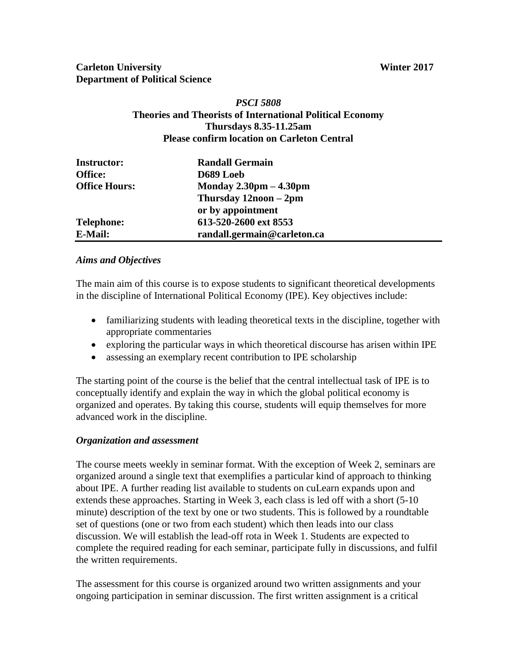# **Carleton University** Winter 2017 **Department of Political Science**

## *PSCI 5808* **Theories and Theorists of International Political Economy Thursdays 8.35-11.25am Please confirm location on Carleton Central**

| <b>Instructor:</b>   | <b>Randall Germain</b>                   |  |  |
|----------------------|------------------------------------------|--|--|
| <b>Office:</b>       | D689 Loeb                                |  |  |
| <b>Office Hours:</b> | Monday $2.30 \text{pm} - 4.30 \text{pm}$ |  |  |
|                      | Thursday $12$ noon $-2$ pm               |  |  |
|                      | or by appointment                        |  |  |
| <b>Telephone:</b>    | 613-520-2600 ext 8553                    |  |  |
| <b>E-Mail:</b>       | randall.germain@carleton.ca              |  |  |

## *Aims and Objectives*

The main aim of this course is to expose students to significant theoretical developments in the discipline of International Political Economy (IPE). Key objectives include:

- familiarizing students with leading theoretical texts in the discipline, together with appropriate commentaries
- exploring the particular ways in which theoretical discourse has arisen within IPE
- assessing an exemplary recent contribution to IPE scholarship

The starting point of the course is the belief that the central intellectual task of IPE is to conceptually identify and explain the way in which the global political economy is organized and operates. By taking this course, students will equip themselves for more advanced work in the discipline.

## *Organization and assessment*

The course meets weekly in seminar format. With the exception of Week 2, seminars are organized around a single text that exemplifies a particular kind of approach to thinking about IPE. A further reading list available to students on cuLearn expands upon and extends these approaches. Starting in Week 3, each class is led off with a short (5-10 minute) description of the text by one or two students. This is followed by a roundtable set of questions (one or two from each student) which then leads into our class discussion. We will establish the lead-off rota in Week 1. Students are expected to complete the required reading for each seminar, participate fully in discussions, and fulfil the written requirements.

The assessment for this course is organized around two written assignments and your ongoing participation in seminar discussion. The first written assignment is a critical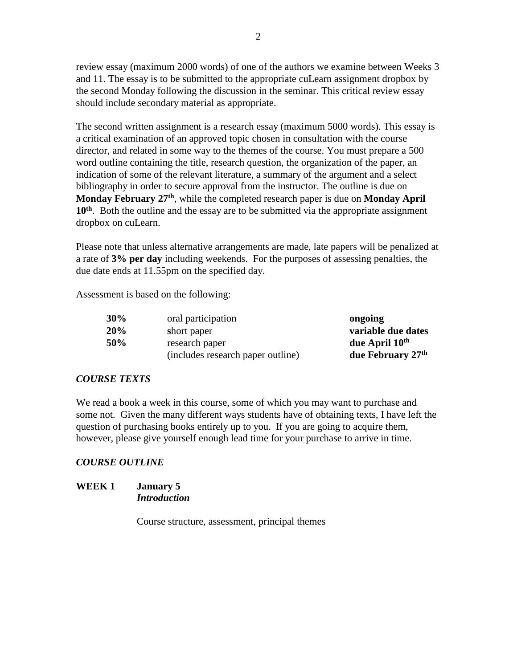review essay (maximum 2000 words) of one of the authors we examine between Weeks 3 and 11. The essay is to be submitted to the appropriate cuLearn assignment dropbox by the second Monday following the discussion in the seminar. This critical review essay should include secondary material as appropriate.

The second written assignment is a research essay (maximum 5000 words). This essay is a critical examination of an approved topic chosen in consultation with the course director, and related in some way to the themes of the course. You must prepare a 500 word outline containing the title, research question, the organization of the paper, an indication of some of the relevant literature, a summary of the argument and a select bibliography in order to secure approval from the instructor. The outline is due on **Monday February 27th**, while the completed research paper is due on **Monday April**  10<sup>th</sup>. Both the outline and the essay are to be submitted via the appropriate assignment dropbox on cuLearn.

Please note that unless alternative arrangements are made, late papers will be penalized at a rate of **3% per day** including weekends. For the purposes of assessing penalties, the due date ends at 11.55pm on the specified day.

Assessment is based on the following:

| 30% | oral participation                | ongoing                    |
|-----|-----------------------------------|----------------------------|
| 20% | short paper                       | variable due dates         |
| 50% | research paper                    | due April 10 <sup>th</sup> |
|     | (includes research paper outline) | due February 27th          |

#### *COURSE TEXTS*

We read a book a week in this course, some of which you may want to purchase and some not. Given the many different ways students have of obtaining texts, I have left the question of purchasing books entirely up to you. If you are going to acquire them, however, please give yourself enough lead time for your purchase to arrive in time.

#### *COURSE OUTLINE*

#### **WEEK 1 January 5** *Introduction*

Course structure, assessment, principal themes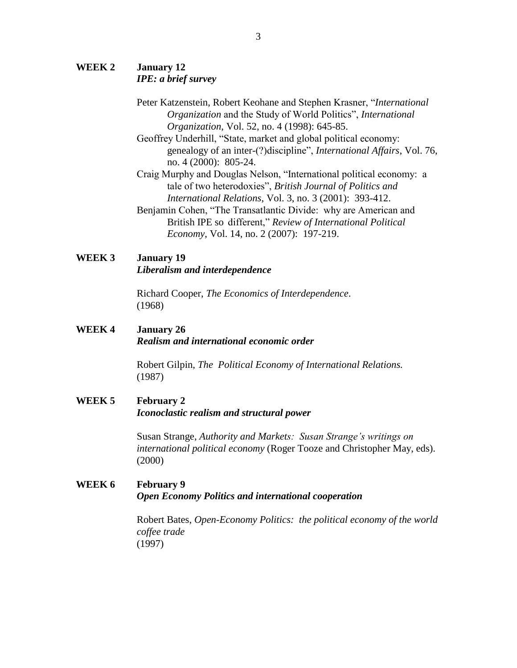## **WEEK 2 January 12** *IPE: a brief survey*

- Peter Katzenstein, Robert Keohane and Stephen Krasner, "*International Organization* and the Study of World Politics", *International Organization*, Vol. 52, no. 4 (1998): 645-85.
- Geoffrey Underhill, "State, market and global political economy: genealogy of an inter-(?)discipline", *International Affairs*, Vol. 76, no. 4 (2000): 805-24.
- Craig Murphy and Douglas Nelson, "International political economy: a tale of two heterodoxies", *British Journal of Politics and International Relations*, Vol. 3, no. 3 (2001): 393-412.
- Benjamin Cohen, "The Transatlantic Divide: why are American and British IPE so different," *Review of International Political Economy*, Vol. 14, no. 2 (2007): 197-219.

## **WEEK 3 January 19**

*Liberalism and interdependence*

Richard Cooper, *The Economics of Interdependence*. (1968)

## **WEEK 4 January 26** *Realism and international economic order*

Robert Gilpin, *The Political Economy of International Relations.* (1987)

## **WEEK 5 February 2** *Iconoclastic realism and structural power*

Susan Strange, *Authority and Markets: Susan Strange's writings on international political economy* (Roger Tooze and Christopher May, eds). (2000)

# **WEEK 6 February 9** *Open Economy Politics and international cooperation*

Robert Bates, *Open-Economy Politics: the political economy of the world coffee trade* (1997)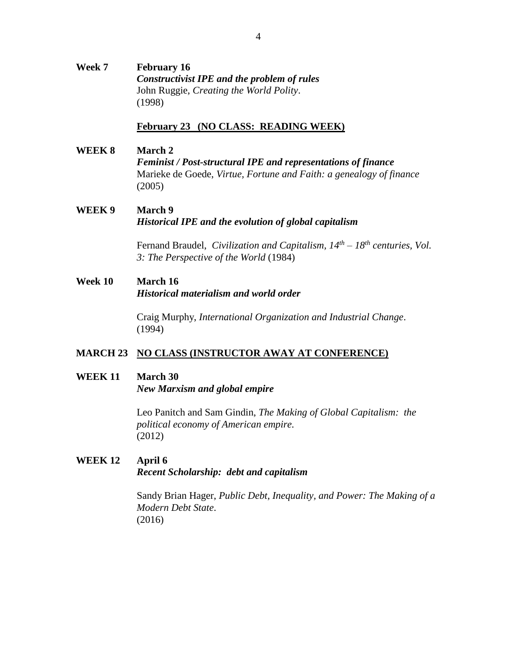## **Week 7 February 16** *Constructivist IPE and the problem of rules* John Ruggie, *Creating the World Polity*. (1998)

#### **February 23 (NO CLASS: READING WEEK)**

#### **WEEK 8 March 2**

*Feminist / Post-structural IPE and representations of finance* Marieke de Goede, *Virtue, Fortune and Faith: a genealogy of finance* (2005)

## **WEEK 9 March 9** *Historical IPE and the evolution of global capitalism*

Fernand Braudel, *Civilization and Capitalism, 14th – 18th centuries, Vol. 3: The Perspective of the World* (1984)

#### **Week 10 March 16**

*Historical materialism and world order*

Craig Murphy, *International Organization and Industrial Change*. (1994)

## **MARCH 23 NO CLASS (INSTRUCTOR AWAY AT CONFERENCE)**

#### **WEEK 11 March 30**

*New Marxism and global empire*

Leo Panitch and Sam Gindin, *The Making of Global Capitalism: the political economy of American empire.* (2012)

## **WEEK 12 April 6** *Recent Scholarship: debt and capitalism*

Sandy Brian Hager, *Public Debt, Inequality, and Power: The Making of a Modern Debt State*. (2016)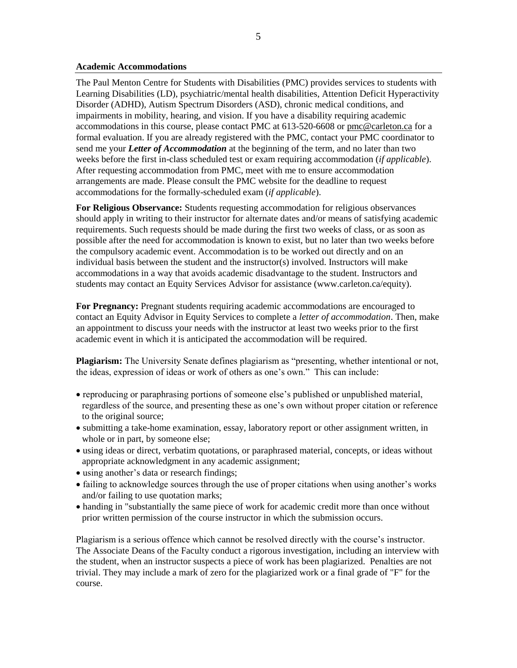#### **Academic Accommodations**

The Paul Menton Centre for Students with Disabilities (PMC) provides services to students with Learning Disabilities (LD), psychiatric/mental health disabilities, Attention Deficit Hyperactivity Disorder (ADHD), Autism Spectrum Disorders (ASD), chronic medical conditions, and impairments in mobility, hearing, and vision. If you have a disability requiring academic accommodations in this course, please contact PMC at 613-520-6608 or [pmc@carleton.ca](mailto:pmc@carleton.ca) for a formal evaluation. If you are already registered with the PMC, contact your PMC coordinator to send me your *Letter of Accommodation* at the beginning of the term, and no later than two weeks before the first in-class scheduled test or exam requiring accommodation (*if applicable*). After requesting accommodation from PMC, meet with me to ensure accommodation arrangements are made. Please consult the PMC website for the deadline to request accommodations for the formally-scheduled exam (*if applicable*).

**For Religious Observance:** Students requesting accommodation for religious observances should apply in writing to their instructor for alternate dates and/or means of satisfying academic requirements. Such requests should be made during the first two weeks of class, or as soon as possible after the need for accommodation is known to exist, but no later than two weeks before the compulsory academic event. Accommodation is to be worked out directly and on an individual basis between the student and the instructor(s) involved. Instructors will make accommodations in a way that avoids academic disadvantage to the student. Instructors and students may contact an Equity Services Advisor for assistance (www.carleton.ca/equity).

**For Pregnancy:** Pregnant students requiring academic accommodations are encouraged to contact an Equity Advisor in Equity Services to complete a *letter of accommodation*. Then, make an appointment to discuss your needs with the instructor at least two weeks prior to the first academic event in which it is anticipated the accommodation will be required.

**Plagiarism:** The University Senate defines plagiarism as "presenting, whether intentional or not, the ideas, expression of ideas or work of others as one's own." This can include:

- reproducing or paraphrasing portions of someone else's published or unpublished material, regardless of the source, and presenting these as one's own without proper citation or reference to the original source;
- submitting a take-home examination, essay, laboratory report or other assignment written, in whole or in part, by someone else;
- using ideas or direct, verbatim quotations, or paraphrased material, concepts, or ideas without appropriate acknowledgment in any academic assignment;
- using another's data or research findings;
- failing to acknowledge sources through the use of proper citations when using another's works and/or failing to use quotation marks;
- handing in "substantially the same piece of work for academic credit more than once without prior written permission of the course instructor in which the submission occurs.

Plagiarism is a serious offence which cannot be resolved directly with the course's instructor. The Associate Deans of the Faculty conduct a rigorous investigation, including an interview with the student, when an instructor suspects a piece of work has been plagiarized. Penalties are not trivial. They may include a mark of zero for the plagiarized work or a final grade of "F" for the course.